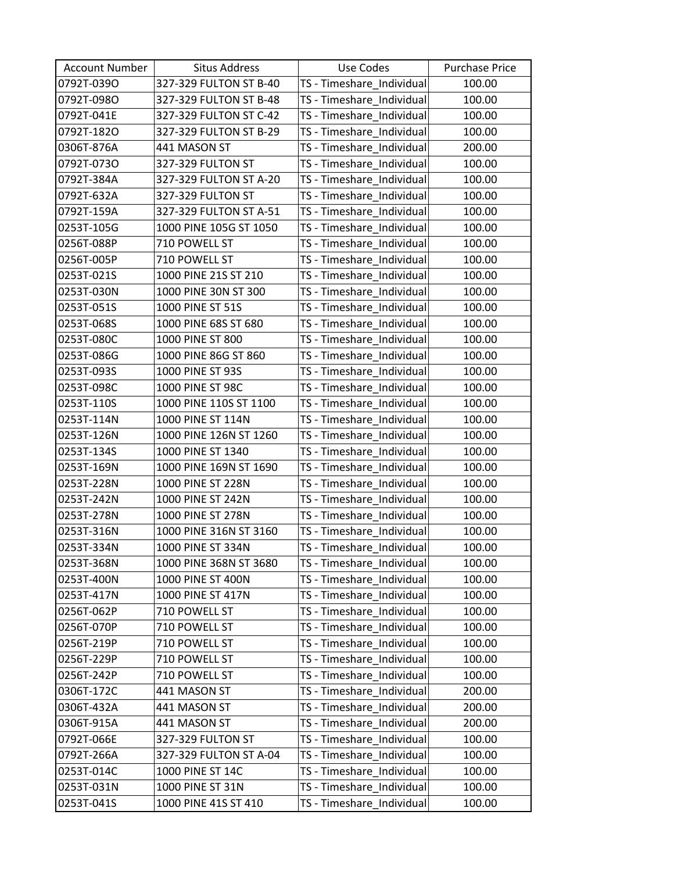| <b>Account Number</b> | <b>Situs Address</b>   | Use Codes                 | <b>Purchase Price</b> |
|-----------------------|------------------------|---------------------------|-----------------------|
| 0792T-039O            | 327-329 FULTON ST B-40 | TS - Timeshare_Individual | 100.00                |
| 0792T-098O            | 327-329 FULTON ST B-48 | TS - Timeshare Individual | 100.00                |
| 0792T-041E            | 327-329 FULTON ST C-42 | TS - Timeshare_Individual | 100.00                |
| 0792T-182O            | 327-329 FULTON ST B-29 | TS - Timeshare_Individual | 100.00                |
| 0306T-876A            | 441 MASON ST           | TS - Timeshare_Individual | 200.00                |
| 0792T-073O            | 327-329 FULTON ST      | TS - Timeshare_Individual | 100.00                |
| 0792T-384A            | 327-329 FULTON ST A-20 | TS - Timeshare_Individual | 100.00                |
| 0792T-632A            | 327-329 FULTON ST      | TS - Timeshare_Individual | 100.00                |
| 0792T-159A            | 327-329 FULTON ST A-51 | TS - Timeshare_Individual | 100.00                |
| 0253T-105G            | 1000 PINE 105G ST 1050 | TS - Timeshare_Individual | 100.00                |
| 0256T-088P            | 710 POWELL ST          | TS - Timeshare_Individual | 100.00                |
| 0256T-005P            | 710 POWELL ST          | TS - Timeshare_Individual | 100.00                |
| 0253T-021S            | 1000 PINE 21S ST 210   | TS - Timeshare_Individual | 100.00                |
| 0253T-030N            | 1000 PINE 30N ST 300   | TS - Timeshare Individual | 100.00                |
| 0253T-051S            | 1000 PINE ST 51S       | TS - Timeshare_Individual | 100.00                |
| 0253T-068S            | 1000 PINE 68S ST 680   | TS - Timeshare_Individual | 100.00                |
| 0253T-080C            | 1000 PINE ST 800       | TS - Timeshare_Individual | 100.00                |
| 0253T-086G            | 1000 PINE 86G ST 860   | TS - Timeshare Individual | 100.00                |
| 0253T-093S            | 1000 PINE ST 93S       | TS - Timeshare_Individual | 100.00                |
| 0253T-098C            | 1000 PINE ST 98C       | TS - Timeshare_Individual | 100.00                |
| 0253T-110S            | 1000 PINE 110S ST 1100 | TS - Timeshare_Individual | 100.00                |
| 0253T-114N            | 1000 PINE ST 114N      | TS - Timeshare_Individual | 100.00                |
| 0253T-126N            | 1000 PINE 126N ST 1260 | TS - Timeshare_Individual | 100.00                |
| 0253T-134S            | 1000 PINE ST 1340      | TS - Timeshare_Individual | 100.00                |
| 0253T-169N            | 1000 PINE 169N ST 1690 | TS - Timeshare_Individual | 100.00                |
| 0253T-228N            | 1000 PINE ST 228N      | TS - Timeshare_Individual | 100.00                |
| 0253T-242N            | 1000 PINE ST 242N      | TS - Timeshare_Individual | 100.00                |
| 0253T-278N            | 1000 PINE ST 278N      | TS - Timeshare_Individual | 100.00                |
| 0253T-316N            | 1000 PINE 316N ST 3160 | TS - Timeshare_Individual | 100.00                |
| 0253T-334N            | 1000 PINE ST 334N      | TS - Timeshare Individual | 100.00                |
| 0253T-368N            | 1000 PINE 368N ST 3680 | TS - Timeshare_Individual | 100.00                |
| 0253T-400N            | 1000 PINE ST 400N      | TS - Timeshare_Individual | 100.00                |
| 0253T-417N            | 1000 PINE ST 417N      | TS - Timeshare Individual | 100.00                |
| 0256T-062P            | 710 POWELL ST          | TS - Timeshare Individual | 100.00                |
| 0256T-070P            | 710 POWELL ST          | TS - Timeshare_Individual | 100.00                |
| 0256T-219P            | 710 POWELL ST          | TS - Timeshare_Individual | 100.00                |
| 0256T-229P            | 710 POWELL ST          | TS - Timeshare_Individual | 100.00                |
| 0256T-242P            | 710 POWELL ST          | TS - Timeshare_Individual | 100.00                |
| 0306T-172C            | 441 MASON ST           | TS - Timeshare Individual | 200.00                |
| 0306T-432A            | 441 MASON ST           | TS - Timeshare_Individual | 200.00                |
| 0306T-915A            | 441 MASON ST           | TS - Timeshare_Individual | 200.00                |
| 0792T-066E            | 327-329 FULTON ST      | TS - Timeshare_Individual | 100.00                |
| 0792T-266A            | 327-329 FULTON ST A-04 | TS - Timeshare_Individual | 100.00                |
| 0253T-014C            | 1000 PINE ST 14C       | TS - Timeshare_Individual | 100.00                |
| 0253T-031N            | 1000 PINE ST 31N       | TS - Timeshare_Individual | 100.00                |
| 0253T-041S            | 1000 PINE 41S ST 410   | TS - Timeshare_Individual | 100.00                |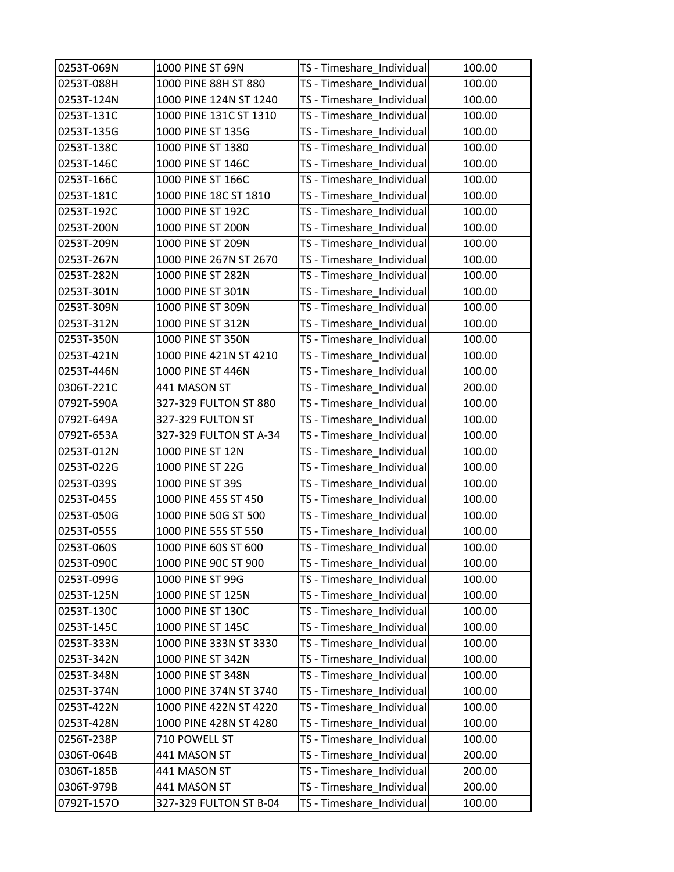| 0253T-069N | 1000 PINE ST 69N       | TS - Timeshare_Individual | 100.00 |
|------------|------------------------|---------------------------|--------|
| 0253T-088H | 1000 PINE 88H ST 880   | TS - Timeshare_Individual | 100.00 |
| 0253T-124N | 1000 PINE 124N ST 1240 | TS - Timeshare_Individual | 100.00 |
| 0253T-131C | 1000 PINE 131C ST 1310 | TS - Timeshare_Individual | 100.00 |
| 0253T-135G | 1000 PINE ST 135G      | TS - Timeshare_Individual | 100.00 |
| 0253T-138C | 1000 PINE ST 1380      | TS - Timeshare_Individual | 100.00 |
| 0253T-146C | 1000 PINE ST 146C      | TS - Timeshare_Individual | 100.00 |
| 0253T-166C | 1000 PINE ST 166C      | TS - Timeshare_Individual | 100.00 |
| 0253T-181C | 1000 PINE 18C ST 1810  | TS - Timeshare_Individual | 100.00 |
| 0253T-192C | 1000 PINE ST 192C      | TS - Timeshare Individual | 100.00 |
| 0253T-200N | 1000 PINE ST 200N      | TS - Timeshare_Individual | 100.00 |
| 0253T-209N | 1000 PINE ST 209N      | TS - Timeshare_Individual | 100.00 |
| 0253T-267N | 1000 PINE 267N ST 2670 | TS - Timeshare_Individual | 100.00 |
| 0253T-282N | 1000 PINE ST 282N      | TS - Timeshare_Individual | 100.00 |
| 0253T-301N | 1000 PINE ST 301N      | TS - Timeshare_Individual | 100.00 |
| 0253T-309N | 1000 PINE ST 309N      | TS - Timeshare Individual | 100.00 |
| 0253T-312N | 1000 PINE ST 312N      | TS - Timeshare_Individual | 100.00 |
| 0253T-350N | 1000 PINE ST 350N      | TS - Timeshare_Individual | 100.00 |
| 0253T-421N | 1000 PINE 421N ST 4210 | TS - Timeshare_Individual | 100.00 |
| 0253T-446N | 1000 PINE ST 446N      | TS - Timeshare_Individual | 100.00 |
| 0306T-221C | 441 MASON ST           | TS - Timeshare_Individual | 200.00 |
| 0792T-590A | 327-329 FULTON ST 880  | TS - Timeshare_Individual | 100.00 |
| 0792T-649A | 327-329 FULTON ST      | TS - Timeshare_Individual | 100.00 |
| 0792T-653A | 327-329 FULTON ST A-34 | TS - Timeshare_Individual | 100.00 |
| 0253T-012N | 1000 PINE ST 12N       | TS - Timeshare_Individual | 100.00 |
| 0253T-022G | 1000 PINE ST 22G       | TS - Timeshare_Individual | 100.00 |
| 0253T-039S | 1000 PINE ST 39S       | TS - Timeshare_Individual | 100.00 |
| 0253T-045S | 1000 PINE 45S ST 450   | TS - Timeshare_Individual | 100.00 |
| 0253T-050G | 1000 PINE 50G ST 500   | TS - Timeshare_Individual | 100.00 |
| 0253T-055S | 1000 PINE 55S ST 550   | TS - Timeshare Individual | 100.00 |
| 0253T-060S | 1000 PINE 60S ST 600   | TS - Timeshare_Individual | 100.00 |
| 0253T-090C | 1000 PINE 90C ST 900   | TS - Timeshare Individual | 100.00 |
| 0253T-099G | 1000 PINE ST 99G       | TS - Timeshare Individual | 100.00 |
| 0253T-125N | 1000 PINE ST 125N      | TS - Timeshare_Individual | 100.00 |
| 0253T-130C | 1000 PINE ST 130C      | TS - Timeshare Individual | 100.00 |
| 0253T-145C | 1000 PINE ST 145C      | TS - Timeshare_Individual | 100.00 |
| 0253T-333N | 1000 PINE 333N ST 3330 | TS - Timeshare_Individual | 100.00 |
| 0253T-342N | 1000 PINE ST 342N      | TS - Timeshare_Individual | 100.00 |
| 0253T-348N | 1000 PINE ST 348N      | TS - Timeshare_Individual | 100.00 |
| 0253T-374N | 1000 PINE 374N ST 3740 | TS - Timeshare_Individual | 100.00 |
| 0253T-422N | 1000 PINE 422N ST 4220 | TS - Timeshare_Individual | 100.00 |
| 0253T-428N | 1000 PINE 428N ST 4280 | TS - Timeshare_Individual | 100.00 |
| 0256T-238P | 710 POWELL ST          | TS - Timeshare_Individual | 100.00 |
| 0306T-064B | 441 MASON ST           | TS - Timeshare_Individual | 200.00 |
| 0306T-185B | 441 MASON ST           | TS - Timeshare_Individual | 200.00 |
| 0306T-979B | 441 MASON ST           | TS - Timeshare_Individual | 200.00 |
| 0792T-157O | 327-329 FULTON ST B-04 | TS - Timeshare_Individual | 100.00 |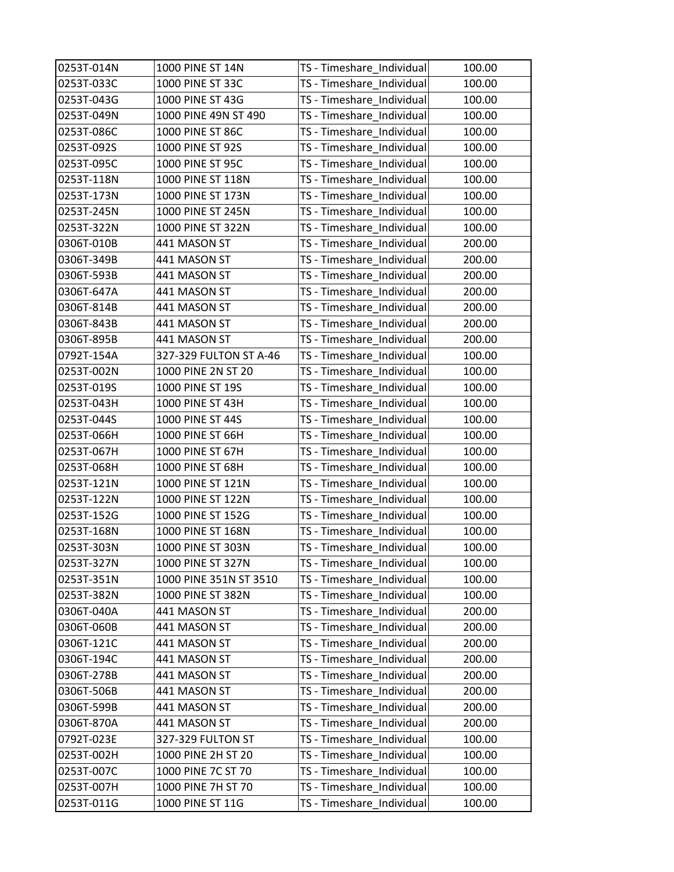| 0253T-014N | 1000 PINE ST 14N       | TS - Timeshare_Individual | 100.00 |
|------------|------------------------|---------------------------|--------|
| 0253T-033C | 1000 PINE ST 33C       | TS - Timeshare_Individual | 100.00 |
| 0253T-043G | 1000 PINE ST 43G       | TS - Timeshare_Individual | 100.00 |
| 0253T-049N | 1000 PINE 49N ST 490   | TS - Timeshare_Individual | 100.00 |
| 0253T-086C | 1000 PINE ST 86C       | TS - Timeshare_Individual | 100.00 |
| 0253T-092S | 1000 PINE ST 92S       | TS - Timeshare_Individual | 100.00 |
| 0253T-095C | 1000 PINE ST 95C       | TS - Timeshare_Individual | 100.00 |
| 0253T-118N | 1000 PINE ST 118N      | TS - Timeshare_Individual | 100.00 |
| 0253T-173N | 1000 PINE ST 173N      | TS - Timeshare_Individual | 100.00 |
| 0253T-245N | 1000 PINE ST 245N      | TS - Timeshare_Individual | 100.00 |
| 0253T-322N | 1000 PINE ST 322N      | TS - Timeshare_Individual | 100.00 |
| 0306T-010B | 441 MASON ST           | TS - Timeshare_Individual | 200.00 |
| 0306T-349B | 441 MASON ST           | TS - Timeshare_Individual | 200.00 |
| 0306T-593B | 441 MASON ST           | TS - Timeshare_Individual | 200.00 |
| 0306T-647A | 441 MASON ST           | TS - Timeshare_Individual | 200.00 |
| 0306T-814B | 441 MASON ST           | TS - Timeshare Individual | 200.00 |
| 0306T-843B | 441 MASON ST           | TS - Timeshare_Individual | 200.00 |
| 0306T-895B | 441 MASON ST           | TS - Timeshare_Individual | 200.00 |
| 0792T-154A | 327-329 FULTON ST A-46 | TS - Timeshare_Individual | 100.00 |
| 0253T-002N | 1000 PINE 2N ST 20     | TS - Timeshare_Individual | 100.00 |
| 0253T-019S | 1000 PINE ST 19S       | TS - Timeshare_Individual | 100.00 |
| 0253T-043H | 1000 PINE ST 43H       | TS - Timeshare_Individual | 100.00 |
| 0253T-044S | 1000 PINE ST 44S       | TS - Timeshare_Individual | 100.00 |
| 0253T-066H | 1000 PINE ST 66H       | TS - Timeshare_Individual | 100.00 |
| 0253T-067H | 1000 PINE ST 67H       | TS - Timeshare_Individual | 100.00 |
| 0253T-068H | 1000 PINE ST 68H       | TS - Timeshare_Individual | 100.00 |
| 0253T-121N | 1000 PINE ST 121N      | TS - Timeshare_Individual | 100.00 |
| 0253T-122N | 1000 PINE ST 122N      | TS - Timeshare_Individual | 100.00 |
| 0253T-152G | 1000 PINE ST 152G      | TS - Timeshare_Individual | 100.00 |
| 0253T-168N | 1000 PINE ST 168N      | TS - Timeshare Individual | 100.00 |
| 0253T-303N | 1000 PINE ST 303N      | TS - Timeshare_Individual | 100.00 |
| 0253T-327N | 1000 PINE ST 327N      | TS - Timeshare_Individual | 100.00 |
| 0253T-351N | 1000 PINE 351N ST 3510 | TS - Timeshare Individual | 100.00 |
| 0253T-382N | 1000 PINE ST 382N      | TS - Timeshare Individual | 100.00 |
| 0306T-040A | 441 MASON ST           | TS - Timeshare_Individual | 200.00 |
| 0306T-060B | 441 MASON ST           | TS - Timeshare_Individual | 200.00 |
| 0306T-121C | 441 MASON ST           | TS - Timeshare_Individual | 200.00 |
| 0306T-194C | 441 MASON ST           | TS - Timeshare_Individual | 200.00 |
| 0306T-278B | 441 MASON ST           | TS - Timeshare_Individual | 200.00 |
| 0306T-506B | 441 MASON ST           | TS - Timeshare_Individual | 200.00 |
| 0306T-599B | 441 MASON ST           | TS - Timeshare_Individual | 200.00 |
| 0306T-870A | 441 MASON ST           | TS - Timeshare_Individual | 200.00 |
| 0792T-023E | 327-329 FULTON ST      | TS - Timeshare_Individual | 100.00 |
| 0253T-002H | 1000 PINE 2H ST 20     | TS - Timeshare_Individual | 100.00 |
| 0253T-007C | 1000 PINE 7C ST 70     | TS - Timeshare_Individual | 100.00 |
| 0253T-007H | 1000 PINE 7H ST 70     | TS - Timeshare_Individual | 100.00 |
| 0253T-011G | 1000 PINE ST 11G       | TS - Timeshare_Individual | 100.00 |